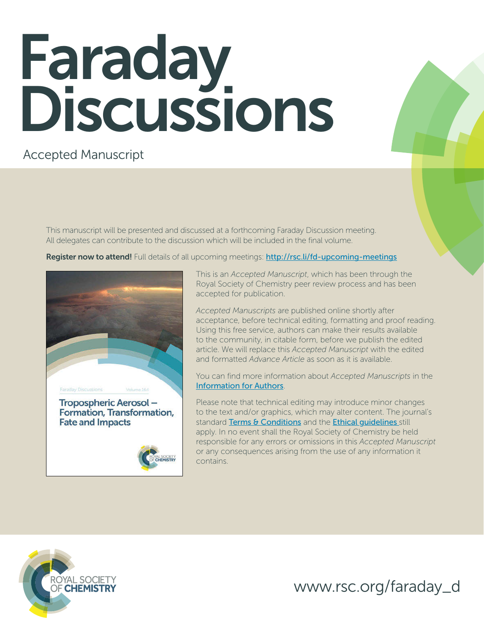# **Faraday** Discussions

# Accepted Manuscript

This manuscript will be presented and discussed at a forthcoming Faraday Discussion meeting. All delegates can contribute to the discussion which will be included in the final volume.

Register now to attend! Full details of all upcoming meetings: http://rsc.li/fd-upcoming-meetings



This is an *Accepted Manuscript*, which has been through the Royal Society of Chemistry peer review process and has been accepted for publication.

*Accepted Manuscripts* are published online shortly after acceptance, before technical editing, formatting and proof reading. Using this free service, authors can make their results available to the community, in citable form, before we publish the edited article. We will replace this *Accepted Manuscript* with the edited and formatted *Advance Article* as soon as it is available.

You can find more information about *Accepted Manuscripts* in the [Information for Authors](http://www.rsc.org/Publishing/Journals/guidelines/AuthorGuidelines/JournalPolicy/accepted_manuscripts.asp).

Please note that technical editing may introduce minor changes to the text and/or graphics, which may alter content. The journal's standard [Terms & Conditions](http://www.rsc.org/help/termsconditions.asp) and the Ethical quidelines still apply. In no event shall the Royal Society of Chemistry be held responsible for any errors or omissions in this *Accepted Manuscript* or any consequences arising from the use of any information it contains.



www.rsc.org/faraday\_d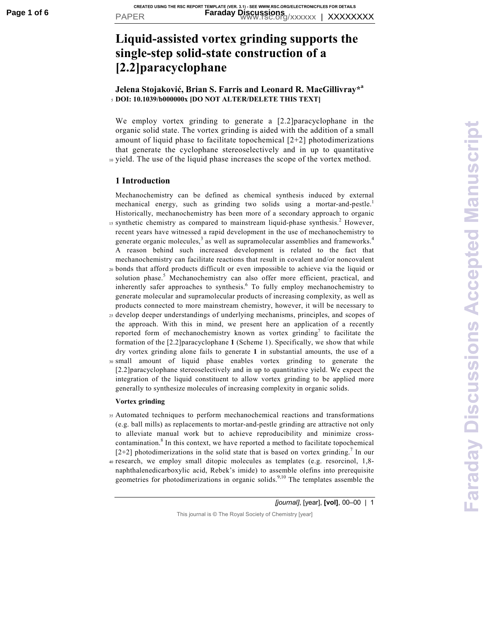# **Liquid-assisted vortex grinding supports the single-step solid-state construction of a [2.2]paracyclophane**

# **Jelena Stojaković, Brian S. Farris and Leonard R. MacGillivray\*<sup>a</sup>** <sup>5</sup>**DOI: 10.1039/b000000x [DO NOT ALTER/DELETE THIS TEXT]**

We employ vortex grinding to generate a [2.2]paracyclophane in the organic solid state. The vortex grinding is aided with the addition of a small amount of liquid phase to facilitate topochemical [2+2] photodimerizations that generate the cyclophane stereoselectively and in up to quantitative <sup>10</sup>yield. The use of the liquid phase increases the scope of the vortex method.

## **1 Introduction**

Mechanochemistry can be defined as chemical synthesis induced by external mechanical energy, such as grinding two solids using a mortar-and-pestle.<sup>1</sup> Historically, mechanochemistry has been more of a secondary approach to organic

- $15$  synthetic chemistry as compared to mainstream liquid-phase synthesis.<sup>2</sup> However, recent years have witnessed a rapid development in the use of mechanochemistry to generate organic molecules,<sup>3</sup> as well as supramolecular assemblies and frameworks.<sup>4</sup> A reason behind such increased development is related to the fact that mechanochemistry can facilitate reactions that result in covalent and/or noncovalent
- <sup>20</sup>bonds that afford products difficult or even impossible to achieve via the liquid or solution phase.<sup>5</sup> Mechanochemistry can also offer more efficient, practical, and inherently safer approaches to synthesis.<sup>6</sup> To fully employ mechanochemistry to generate molecular and supramolecular products of increasing complexity, as well as products connected to more mainstream chemistry, however, it will be necessary to
- <sup>25</sup>develop deeper understandings of underlying mechanisms, principles, and scopes of the approach. With this in mind, we present here an application of a recently reported form of mechanochemistry known as vortex grinding<sup>7</sup> to facilitate the formation of the [2.2]paracyclophane **1** (Scheme 1). Specifically, we show that while dry vortex grinding alone fails to generate **1** in substantial amounts, the use of a
- <sup>30</sup>small amount of liquid phase enables vortex grinding to generate the [2.2]paracyclophane stereoselectively and in up to quantitative yield. We expect the integration of the liquid constituent to allow vortex grinding to be applied more generally to synthesize molecules of increasing complexity in organic solids.

#### **Vortex grinding**

- <sup>35</sup>Automated techniques to perform mechanochemical reactions and transformations (e.g. ball mills) as replacements to mortar-and-pestle grinding are attractive not only to alleviate manual work but to achieve reproducibility and minimize crosscontamination.<sup>8</sup> In this context, we have reported a method to facilitate topochemical  $[2+2]$  photodimerizations in the solid state that is based on vortex grinding.<sup>7</sup> In our
- <sup>40</sup>research, we employ small ditopic molecules as templates (e.g. resorcinol, 1,8 naphthalenedicarboxylic acid, Rebek's imide) to assemble olefins into prerequisite geometries for photodimerizations in organic solids.<sup>9,10</sup> The templates assemble the

*[journal]*, [year], **[vol]**, 00–00 | 1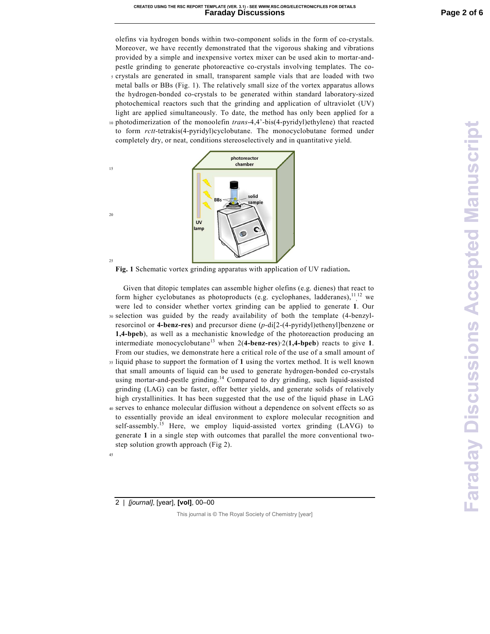olefins via hydrogen bonds within two-component solids in the form of co-crystals. Moreover, we have recently demonstrated that the vigorous shaking and vibrations provided by a simple and inexpensive vortex mixer can be used akin to mortar-andpestle grinding to generate photoreactive co-crystals involving templates. The co-<sup>5</sup>crystals are generated in small, transparent sample vials that are loaded with two metal balls or BBs (Fig. 1). The relatively small size of the vortex apparatus allows the hydrogen-bonded co-crystals to be generated within standard laboratory-sized photochemical reactors such that the grinding and application of ultraviolet (UV) light are applied simultaneously. To date, the method has only been applied for a 10 photodimerization of the monoolefin *trans*-4,4'-bis(4-pyridyl)ethylene) that reacted to form *rctt*-tetrakis(4-pyridyl)cyclobutane. The monocyclobutane formed under completely dry, or neat, conditions stereoselectively and in quantitative yield.



**Fig. 1** Schematic vortex grinding apparatus with application of UV radiation**.** 

 Given that ditopic templates can assemble higher olefins (e.g. dienes) that react to form higher cyclobutanes as photoproducts (e.g. cyclophanes, ladderanes), $\frac{11}{12}$  we were led to consider whether vortex grinding can be applied to generate **1**. Our 30 selection was guided by the ready availability of both the template (4-benzylresorcinol or **4-benz-res**) and precursor diene (*p*-di[2-(4-pyridyl)ethenyl]benzene or **1,4-bpeb**), as well as a mechanistic knowledge of the photoreaction producing an intermediate monocyclobutane<sup>13</sup> when  $2(4$ -benz-res $)$ ·2(1,4-bpeb) reacts to give 1. From our studies, we demonstrate here a critical role of the use of a small amount of <sup>35</sup>liquid phase to support the formation of **1** using the vortex method. It is well known that small amounts of liquid can be used to generate hydrogen-bonded co-crystals using mortar-and-pestle grinding.<sup>14</sup> Compared to dry grinding, such liquid-assisted grinding (LAG) can be faster, offer better yields, and generate solids of relatively high crystallinities. It has been suggested that the use of the liquid phase in LAG <sup>40</sup>serves to enhance molecular diffusion without a dependence on solvent effects so as to essentially provide an ideal environment to explore molecular recognition and

self-assembly.<sup>15</sup> Here, we employ liquid-assisted vortex grinding (LAVG) to generate **1** in a single step with outcomes that parallel the more conventional twostep solution growth approach (Fig 2).

2 | *[journal]*, [year], **[vol]**, 00–00

15

 $20$ 

25

45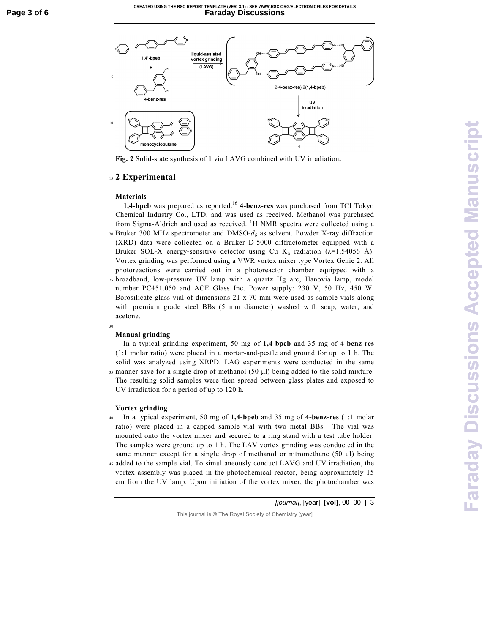#### **CREATED USING THE RSC REPORT TEMPLATE (VER. 3.1) - SEE WWW.RSC.ORG/ELECTRONICFILES FOR DETAILS Page 3 of 6 Faraday Discussions**



**Fig. 2** Solid-state synthesis of **1** via LAVG combined with UV irradiation**.** 

# <sup>15</sup>**2 Experimental**

### **Materials**

**1,4-bpeb** was prepared as reported.<sup>16</sup> 4-benz-res was purchased from TCI Tokyo Chemical Industry Co., LTD. and was used as received. Methanol was purchased from Sigma-Aldrich and used as received. <sup>1</sup>H NMR spectra were collected using a  $_{20}$  Bruker 300 MHz spectrometer and DMSO- $d_6$  as solvent. Powder X-ray diffraction (XRD) data were collected on a Bruker D-5000 diffractometer equipped with a Bruker SOL-X energy-sensitive detector using Cu K<sub>a</sub> radiation ( $\lambda$ =1.54056 Å). Vortex grinding was performed using a VWR vortex mixer type Vortex Genie 2. All photoreactions were carried out in a photoreactor chamber equipped with a <sup>25</sup>broadband, low-pressure UV lamp with a quartz Hg arc, Hanovia lamp, model number PC451.050 and ACE Glass Inc. Power supply: 230 V, 50 Hz, 450 W. Borosilicate glass vial of dimensions 21 x 70 mm were used as sample vials along

with premium grade steel BBs (5 mm diameter) washed with soap, water, and acetone. 30

#### **Manual grinding**

 In a typical grinding experiment, 50 mg of **1,4-bpeb** and 35 mg of **4-benz-res** (1:1 molar ratio) were placed in a mortar-and-pestle and ground for up to 1 h. The solid was analyzed using XRPD. LAG experiments were conducted in the same  $35$  manner save for a single drop of methanol (50  $\mu$ l) being added to the solid mixture. The resulting solid samples were then spread between glass plates and exposed to UV irradiation for a period of up to 120 h.

#### **Vortex grinding**

<sup>40</sup>In a typical experiment, 50 mg of **1,4-bpeb** and 35 mg of **4-benz-res** (1:1 molar ratio) were placed in a capped sample vial with two metal BBs. The vial was mounted onto the vortex mixer and secured to a ring stand with a test tube holder. The samples were ground up to 1 h. The LAV vortex grinding was conducted in the same manner except for a single drop of methanol or nitromethane (50 µl) being <sup>45</sup>added to the sample vial. To simultaneously conduct LAVG and UV irradiation, the vortex assembly was placed in the photochemical reactor, being approximately 15

*[journal]*, [year], **[vol]**, 00–00 | 3

This journal is © The Royal Society of Chemistry [year]

cm from the UV lamp. Upon initiation of the vortex mixer, the photochamber was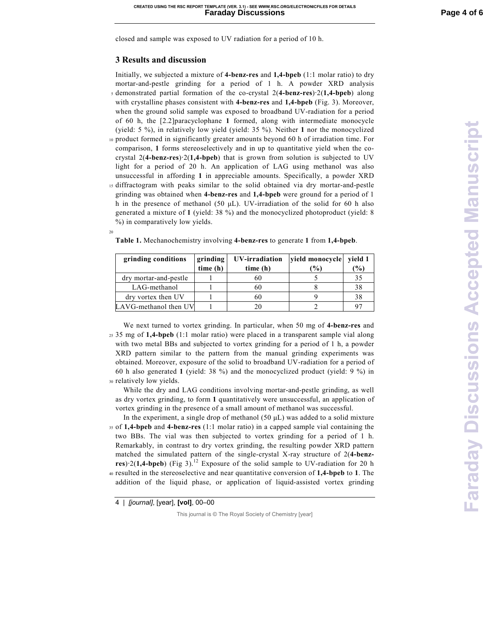closed and sample was exposed to UV radiation for a period of 10 h.

## **3 Results and discussion**

20

Initially, we subjected a mixture of **4-benz-res** and **1,4-bpeb** (1:1 molar ratio) to dry mortar-and-pestle grinding for a period of 1 h. A powder XRD analysis <sup>5</sup>demonstrated partial formation of the co-crystal 2(**4-benz-res**)·2(**1,4-bpeb**) along with crystalline phases consistent with **4-benz-res** and **1,4-bpeb** (Fig. 3). Moreover, when the ground solid sample was exposed to broadband UV-radiation for a period of 60 h, the [2.2]paracyclophane **1** formed, along with intermediate monocycle (yield: 5 %), in relatively low yield (yield: 35 %). Neither **1** nor the monocyclized 10 product formed in significantly greater amounts beyond 60 h of irradiation time. For comparison, **1** forms stereoselectively and in up to quantitative yield when the cocrystal 2(**4-benz-res**)·2(**1,4-bpeb**) that is grown from solution is subjected to UV light for a period of 20 h. An application of LAG using methanol was also

unsuccessful in affording **1** in appreciable amounts. Specifically, a powder XRD <sup>15</sup>diffractogram with peaks similar to the solid obtained via dry mortar-and-pestle grinding was obtained when **4-benz-res** and **1,4-bpeb** were ground for a period of 1 h in the presence of methanol (50  $\mu$ L). UV-irradiation of the solid for 60 h also generated a mixture of **1** (yield: 38 %) and the monocyclized photoproduct (yield: 8 %) in comparatively low yields.

| grinding conditions   | grinding | UV-irradiation | vield monocycle | vield 1       |
|-----------------------|----------|----------------|-----------------|---------------|
|                       | time(h)  | time (h)       | $\frac{1}{2}$   | $\frac{9}{0}$ |
| dry mortar-and-pestle |          | 60             |                 | 35            |
| LAG-methanol          |          | 60             |                 | 38            |
| dry vortex then UV    |          |                |                 | 38            |
| LAVG-methanol then UV |          |                |                 | ∩⊓            |

**Table 1.** Mechanochemistry involving **4-benz-res** to generate **1** from **1,4-bpeb**.

 We next turned to vortex grinding. In particular, when 50 mg of **4-benz-res** and <sup>25</sup>35 mg of **1,4-bpeb** (1:1 molar ratio) were placed in a transparent sample vial along with two metal BBs and subjected to vortex grinding for a period of 1 h, a powder XRD pattern similar to the pattern from the manual grinding experiments was obtained. Moreover, exposure of the solid to broadband UV-radiation for a period of 60 h also generated **1** (yield: 38 %) and the monocyclized product (yield: 9 %) in 30 relatively low yields.

 While the dry and LAG conditions involving mortar-and-pestle grinding, as well as dry vortex grinding, to form **1** quantitatively were unsuccessful, an application of vortex grinding in the presence of a small amount of methanol was successful.

In the experiment, a single drop of methanol  $(50 \mu L)$  was added to a solid mixture <sup>35</sup>of **1,4-bpeb** and **4-benz-res** (1:1 molar ratio) in a capped sample vial containing the two BBs. The vial was then subjected to vortex grinding for a period of 1 h. Remarkably, in contrast to dry vortex grinding, the resulting powder XRD pattern matched the simulated pattern of the single-crystal X-ray structure of 2(**4-benzres**)·2(**1,4-bpeb**) (Fig 3).<sup>12</sup> Exposure of the solid sample to UV-radiation for 20 h <sup>40</sup>resulted in the stereoselective and near quantitative conversion of **1,4-bpeb** to **1**. The addition of the liquid phase, or application of liquid-assisted vortex grinding

4 | *[journal]*, [year], **[vol]**, 00–00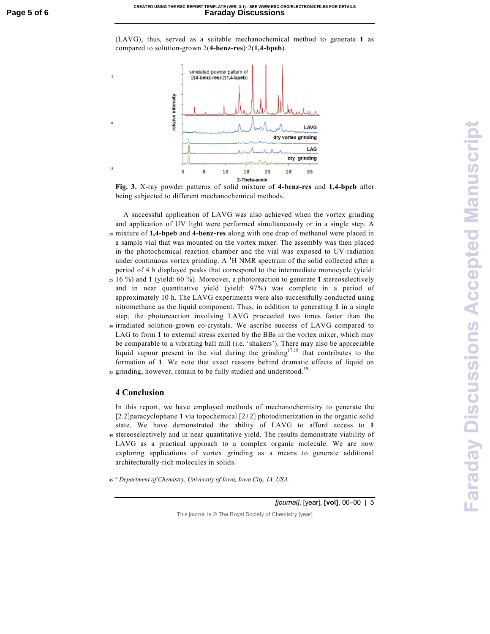(LAVG), thus, served as a suitable mechanochemical method to generate **1** as compared to solution-grown 2(**4-benz-res**)·2(**1,4-bpeb**).



**Fig. 3.** X-ray powder patterns of solid mixture of **4-benz-res** and **1,4-bpeb** after being subjected to different mechanochemical methods.

 A successful application of LAVG was also achieved when the vortex grinding and application of UV light were performed simultaneously or in a single step. A <sup>20</sup>mixture of **1,4-bpeb** and **4-benz-res** along with one drop of methanol were placed in a sample vial that was mounted on the vortex mixer. The assembly was then placed in the photochemical reaction chamber and the vial was exposed to UV-radiation under continuous vortex grinding. A  $^1$ H NMR spectrum of the solid collected after a period of 4 h displayed peaks that correspond to the intermediate monocycle (yield: <sup>25</sup>16 %) and **1** (yield: 60 %). Moreover, a photoreaction to generate **1** stereoselectively and in near quantitative yield (yield: 97%) was complete in a period of approximately 10 h. The LAVG experiments were also successfully conducted using nitromethane as the liquid component. Thus, in addition to generating **1** in a single step, the photoreaction involving LAVG proceeded two times faster than the <sup>30</sup>irradiated solution-grown co-crystals. We ascribe success of LAVG compared to LAG to form **1** to external stress exerted by the BBs in the vortex mixer, which may be comparable to a vibrating ball mill (i.e. 'shakers'). There may also be appreciable liquid vapour present in the vial during the grinding<sup>17,18</sup> that contributes to the formation of **1**. We note that exact reasons behind dramatic effects of liquid on 35 grinding, however, remain to be fully studied and understood.<sup>19</sup>

#### **4 Conclusion**

5

10

15

In this report, we have employed methods of mechanochemistry to generate the [2.2]paracyclophane **1** via topochemical [2+2] photodimerization in the organic solid state. We have demonstrated the ability of LAVG to afford access to **1** <sup>40</sup>stereoselectively and in near quantitative yield. The results demonstrate viability of LAVG as a practical approach to a complex organic molecule. We are now exploring applications of vortex grinding as a means to generate additional architecturally-rich molecules in solids.

*a* <sup>45</sup>*Department of Chemistry, University of Iowa, Iowa City, IA, USA.* 

*[journal]*, [year], **[vol]**, 00–00 | 5